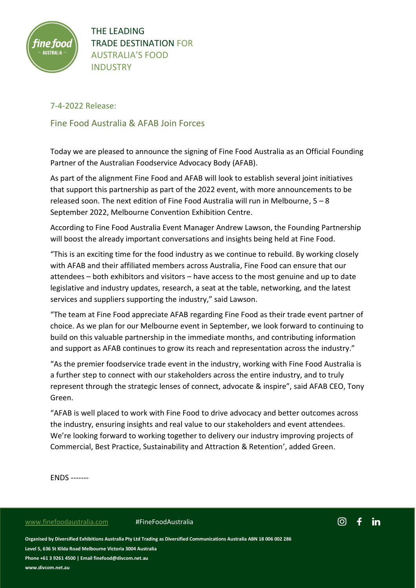

THE LEADING TRADE DESTINATION FOR AUSTRALIA'S FOOD INDUSTRY

# 7-4-2022 Release:

Fine Food Australia & AFAB Join Forces

Today we are pleased to announce the signing of Fine Food Australia as an Official Founding Partner of the Australian Foodservice Advocacy Body (AFAB).

As part of the alignment Fine Food and AFAB will look to establish several joint initiatives that support this partnership as part of the 2022 event, with more announcements to be released soon. The next edition of Fine Food Australia will run in Melbourne, 5 – 8 September 2022, Melbourne Convention Exhibition Centre.

According to Fine Food Australia Event Manager Andrew Lawson, the Founding Partnership will boost the already important conversations and insights being held at Fine Food.

"This is an exciting time for the food industry as we continue to rebuild. By working closely with AFAB and their affiliated members across Australia, Fine Food can ensure that our attendees – both exhibitors and visitors – have access to the most genuine and up to date legislative and industry updates, research, a seat at the table, networking, and the latest services and suppliers supporting the industry," said Lawson.

"The team at Fine Food appreciate AFAB regarding Fine Food as their trade event partner of choice. As we plan for our Melbourne event in September, we look forward to continuing to build on this valuable partnership in the immediate months, and contributing information and support as AFAB continues to grow its reach and representation across the industry."

"As the premier foodservice trade event in the industry, working with Fine Food Australia is a further step to connect with our stakeholders across the entire industry, and to truly represent through the strategic lenses of connect, advocate & inspire", said AFAB CEO, Tony Green.

"AFAB is well placed to work with Fine Food to drive advocacy and better outcomes across the industry, ensuring insights and real value to our stakeholders and event attendees. We're looking forward to working together to delivery our industry improving projects of Commercial, Best Practice, Sustainability and Attraction & Retention', added Green.

ENDS -------

### [www.finefoodaustralia.com](http://www.finefoodaustralia.com/) #FineFoodAustralia



**Organised by Diversified Exhibitions Australia Pty Ltd Trading as Diversified Communications Australia ABN 18 006 002 286 Level 5, 636 St Kilda Road Melbourne Victoria 3004 Australia Phone +61 3 9261 4500 | Email finefood@divcom.net.au**

**www.divcom.net.au**